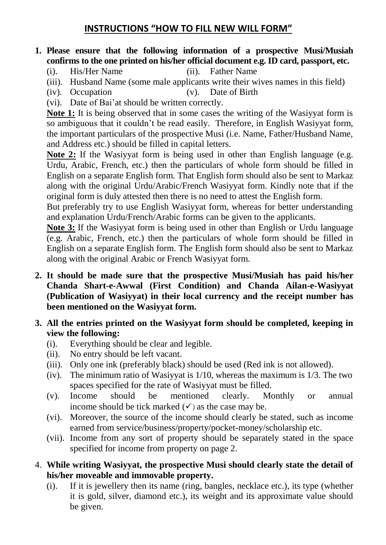## **INSTRUCTIONS "HOW TO FILL NEW WILL FORM"**

#### **1. Please ensure that the following information of a prospective Musi/Musiah confirms to the one printed on his/her official document e.g. ID card, passport, etc.**

- (i). His/Her Name (ii). Father Name
- (iii). Husband Name (some male applicants write their wives names in this field)
- (iv). Occupation (v). Date of Birth
- (vi). Date of Bai'at should be written correctly.

**Note 1:** It is being observed that in some cases the writing of the Wasiyyat form is so ambiguous that it couldn't be read easily. Therefore, in English Wasiyyat form, the important particulars of the prospective Musi (i.e. Name, Father/Husband Name, and Address etc.) should be filled in capital letters.

**Note 2:** If the Wasiyyat form is being used in other than English language (e.g. Urdu, Arabic, French, etc.) then the particulars of whole form should be filled in English on a separate English form. That English form should also be sent to Markaz along with the original Urdu/Arabic/French Wasiyyat form. Kindly note that if the original form is duly attested then there is no need to attest the English form.

But preferably try to use English Wasiyyat form, whereas for better understanding and explanation Urdu/French/Arabic forms can be given to the applicants.

**Note 3:** If the Wasiyyat form is being used in other than English or Urdu language (e.g. Arabic, French, etc.) then the particulars of whole form should be filled in English on a separate English form. The English form should also be sent to Markaz along with the original Arabic or French Wasiyyat form.

- **2. It should be made sure that the prospective Musi/Musiah has paid his/her Chanda Shart-e-Awwal (First Condition) and Chanda Ailan-e-Wasiyyat (Publication of Wasiyyat) in their local currency and the receipt number has been mentioned on the Wasiyyat form.**
- **3. All the entries printed on the Wasiyyat form should be completed, keeping in view the following:**
	- (i). Everything should be clear and legible.
	- (ii). No entry should be left vacant.
	- (iii). Only one ink (preferably black) should be used (Red ink is not allowed).
	- (iv). The minimum ratio of Wasiyyat is 1/10, whereas the maximum is 1/3. The two spaces specified for the rate of Wasiyyat must be filled.
	- (v). Income should be mentioned clearly. Monthly or annual income should be tick marked  $(\checkmark)$  as the case may be.
	- (vi). Moreover, the source of the income should clearly be stated, such as income earned from service/business/property/pocket-money/scholarship etc.
	- (vii). Income from any sort of property should be separately stated in the space specified for income from property on page 2.
- 4. **While writing Wasiyyat, the prospective Musi should clearly state the detail of his/her moveable and immovable property.**
	- (i). If it is jewellery then its name (ring, bangles, necklace etc.), its type (whether it is gold, silver, diamond etc.), its weight and its approximate value should be given.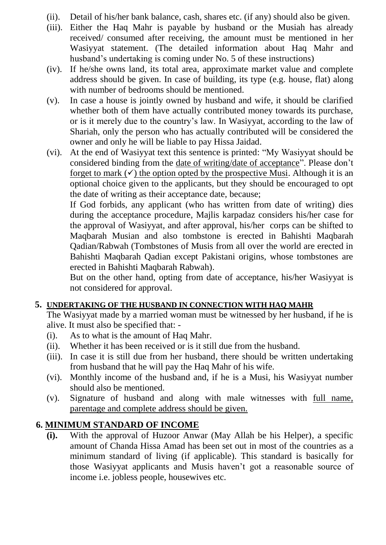- (ii). Detail of his/her bank balance, cash, shares etc. (if any) should also be given.
- (iii). Either the Haq Mahr is payable by husband or the Musiah has already received/ consumed after receiving, the amount must be mentioned in her Wasiyyat statement. (The detailed information about Haq Mahr and husband's undertaking is coming under No. 5 of these instructions)
- (iv). If he/she owns land, its total area, approximate market value and complete address should be given. In case of building, its type (e.g. house, flat) along with number of bedrooms should be mentioned.
- (v). In case a house is jointly owned by husband and wife, it should be clarified whether both of them have actually contributed money towards its purchase, or is it merely due to the country's law. In Wasiyyat, according to the law of Shariah, only the person who has actually contributed will be considered the owner and only he will be liable to pay Hissa Jaidad.
- (vi). At the end of Wasiyyat text this sentence is printed: "My Wasiyyat should be considered binding from the date of writing/date of acceptance". Please don't forget to mark  $(\checkmark)$  the option opted by the prospective Musi. Although it is an optional choice given to the applicants, but they should be encouraged to opt the date of writing as their acceptance date, because;

If God forbids, any applicant (who has written from date of writing) dies during the acceptance procedure, Majlis karpadaz considers his/her case for the approval of Wasiyyat, and after approval, his/her corps can be shifted to Maqbarah Musian and also tombstone is erected in Bahishti Maqbarah Qadian/Rabwah (Tombstones of Musis from all over the world are erected in Bahishti Maqbarah Qadian except Pakistani origins, whose tombstones are erected in Bahishti Maqbarah Rabwah).

But on the other hand, opting from date of acceptance, his/her Wasiyyat is not considered for approval.

### **5. UNDERTAKING OF THE HUSBAND IN CONNECTION WITH HAQ MAHR**

The Wasiyyat made by a married woman must be witnessed by her husband, if he is alive. It must also be specified that: -

- (i). As to what is the amount of Haq Mahr.
- (ii). Whether it has been received or is it still due from the husband.
- (iii). In case it is still due from her husband, there should be written undertaking from husband that he will pay the Haq Mahr of his wife.
- (vi). Monthly income of the husband and, if he is a Musi, his Wasiyyat number should also be mentioned.
- (v). Signature of husband and along with male witnesses with full name, parentage and complete address should be given.

## **6. MINIMUM STANDARD OF INCOME**

**(i).** With the approval of Huzoor Anwar (May Allah be his Helper), a specific amount of Chanda Hissa Amad has been set out in most of the countries as a minimum standard of living (if applicable). This standard is basically for those Wasiyyat applicants and Musis haven't got a reasonable source of income i.e. jobless people, housewives etc.